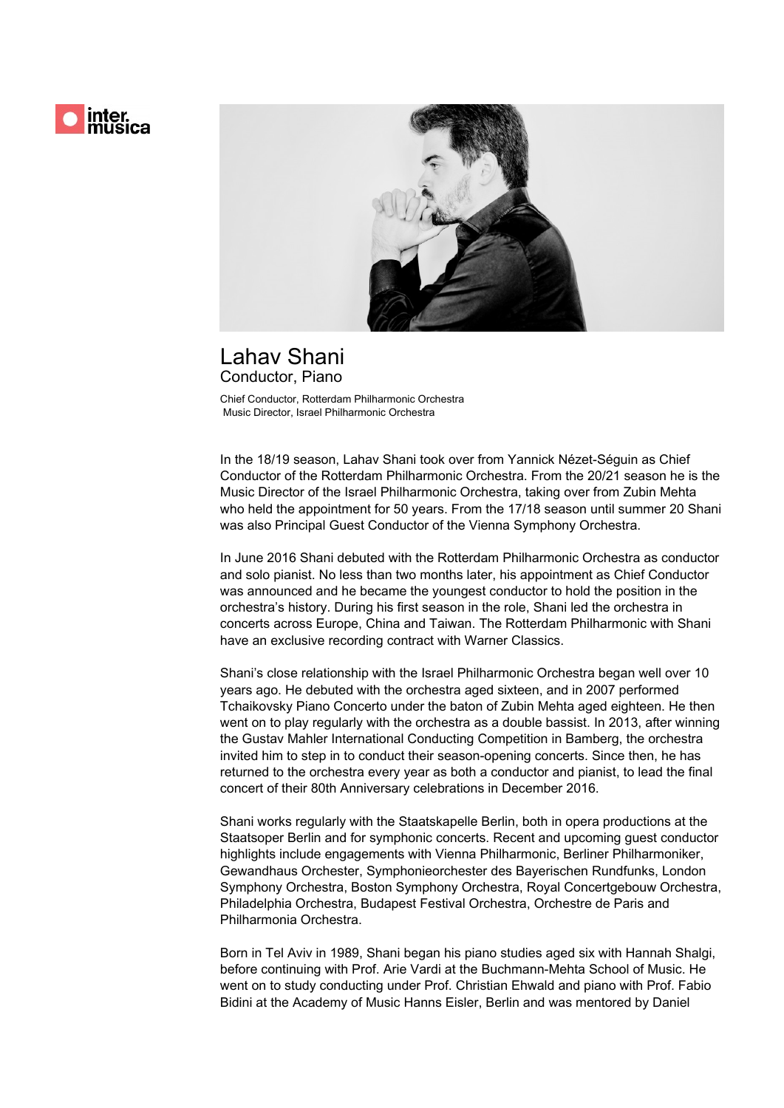

## Lahav Shani Conductor, Piano

Chief Conductor, Rotterdam Philharmonic Orchestra Music Director, Israel Philharmonic Orchestra

In the 18/19 season, Lahav Shani took over from Yannick Nézet-Séguin as Chief Conductor of the Rotterdam Philharmonic Orchestra. From the 20/21 season he is the Music Director of the Israel Philharmonic Orchestra, taking over from Zubin Mehta who held the appointment for 50 years. From the 17/18 season until summer 20 Shani was also Principal Guest Conductor of the Vienna Symphony Orchestra.

In June 2016 Shani debuted with the Rotterdam Philharmonic Orchestra as conductor and solo pianist. No less than two months later, his appointment as Chief Conductor was announced and he became the youngest conductor to hold the position in the orchestra's history. During his first season in the role, Shani led the orchestra in concerts across Europe, China and Taiwan. The Rotterdam Philharmonic with Shani have an exclusive recording contract with Warner Classics.

Shani's close relationship with the Israel Philharmonic Orchestra began well over 10 years ago. He debuted with the orchestra aged sixteen, and in 2007 performed Tchaikovsky Piano Concerto under the baton of Zubin Mehta aged eighteen. He then went on to play regularly with the orchestra as a double bassist. In 2013, after winning the Gustav Mahler International Conducting Competition in Bamberg, the orchestra invited him to step in to conduct their season-opening concerts. Since then, he has returned to the orchestra every year as both a conductor and pianist, to lead the final concert of their 80th Anniversary celebrations in December 2016.

Shani works regularly with the Staatskapelle Berlin, both in opera productions at the Staatsoper Berlin and for symphonic concerts. Recent and upcoming guest conductor highlights include engagements with Vienna Philharmonic, Berliner Philharmoniker, Gewandhaus Orchester, Symphonieorchester des Bayerischen Rundfunks, London Symphony Orchestra, Boston Symphony Orchestra, Royal Concertgebouw Orchestra, Philadelphia Orchestra, Budapest Festival Orchestra, Orchestre de Paris and Philharmonia Orchestra.

Born in Tel Aviv in 1989, Shani began his piano studies aged six with Hannah Shalgi, before continuing with Prof. Arie Vardi at the Buchmann-Mehta School of Music. He went on to study conducting under Prof. Christian Ehwald and piano with Prof. Fabio Bidini at the Academy of Music Hanns Eisler, Berlin and was mentored by Daniel